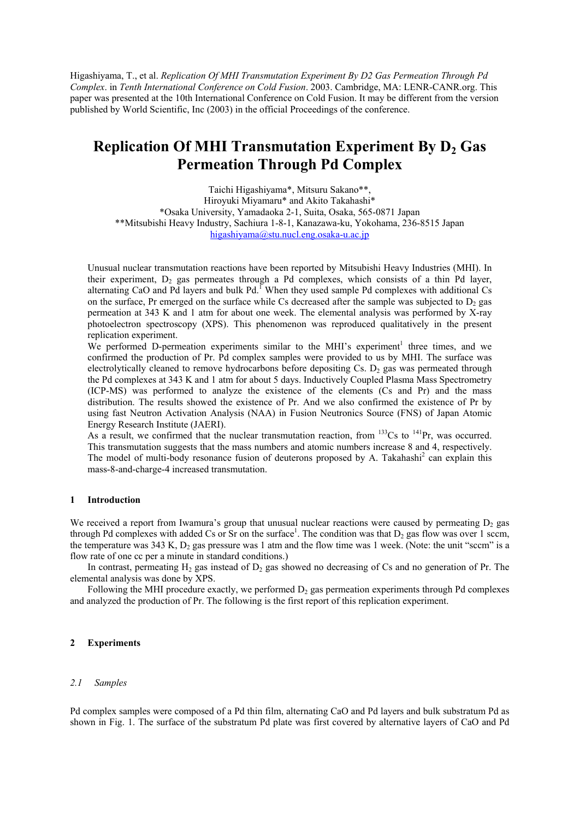Higashiyama, T., et al. *Replication Of MHI Transmutation Experiment By D2 Gas Permeation Through Pd Complex*. in *Tenth International Conference on Cold Fusion*. 2003. Cambridge, MA: LENR-CANR.org. This paper was presented at the 10th International Conference on Cold Fusion. It may be different from the version published by World Scientific, Inc (2003) in the official Proceedings of the conference.

# **Replication Of MHI Transmutation Experiment By D<sub>2</sub> Gas Permeation Through Pd Complex**

Taichi Higashiyama\*, Mitsuru Sakano\*\*, Hiroyuki Miyamaru\* and Akito Takahashi\* \*Osaka University, Yamadaoka 2-1, Suita, Osaka, 565-0871 Japan \*\*Mitsubishi Heavy Industry, Sachiura 1-8-1, Kanazawa-ku, Yokohama, 236-8515 Japan [higashiyama@stu.nucl.eng.osaka-u.ac.jp](mailto:higashiyama@stu.nucl.eng.osaka-u.ac.jp)

Unusual nuclear transmutation reactions have been reported by Mitsubishi Heavy Industries (MHI). In their experiment,  $D_2$  gas permeates through a Pd complexes, which consists of a thin Pd layer, alternating CaO and Pd layers and bulk Pd.<sup>1</sup> When they used sample Pd complexes with additional Cs on the surface, Pr emerged on the surface while Cs decreased after the sample was subjected to  $D_2$  gas permeation at 343 K and 1 atm for about one week. The elemental analysis was performed by X-ray photoelectron spectroscopy (XPS). This phenomenon was reproduced qualitatively in the present replication experiment.

We performed D-permeation experiments similar to the MHI's experiment<sup>1</sup> three times, and we confirmed the production of Pr. Pd complex samples were provided to us by MHI. The surface was electrolytically cleaned to remove hydrocarbons before depositing  $Cs$ . D<sub>2</sub> gas was permeated through the Pd complexes at 343 K and 1 atm for about 5 days. Inductively Coupled Plasma Mass Spectrometry (ICP-MS) was performed to analyze the existence of the elements (Cs and Pr) and the mass distribution. The results showed the existence of Pr. And we also confirmed the existence of Pr by using fast Neutron Activation Analysis (NAA) in Fusion Neutronics Source (FNS) of Japan Atomic Energy Research Institute (JAERI).

As a result, we confirmed that the nuclear transmutation reaction, from  $133Cs$  to  $141Pr$ , was occurred. This transmutation suggests that the mass numbers and atomic numbers increase 8 and 4, respectively. The model of multi-body resonance fusion of deuterons proposed by A. Takahashi<sup>2</sup> can explain this mass-8-and-charge-4 increased transmutation.

# **1 Introduction**

We received a report from Iwamura's group that unusual nuclear reactions were caused by permeating  $D_2$  gas through Pd complexes with added Cs or Sr on the surface<sup>1</sup>. The condition was that  $D_2$  gas flow was over 1 sccm, the temperature was  $343$  K,  $D_2$  gas pressure was 1 atm and the flow time was 1 week. (Note: the unit "sccm" is a flow rate of one cc per a minute in standard conditions.)

In contrast, permeating  $H_2$  gas instead of  $D_2$  gas showed no decreasing of Cs and no generation of Pr. The elemental analysis was done by XPS.

Following the MHI procedure exactly, we performed  $D<sub>2</sub>$  gas permeation experiments through Pd complexes and analyzed the production of Pr. The following is the first report of this replication experiment.

## **2 Experiments**

## *2.1 Samples*

Pd complex samples were composed of a Pd thin film, alternating CaO and Pd layers and bulk substratum Pd as shown in Fig. 1. The surface of the substratum Pd plate was first covered by alternative layers of CaO and Pd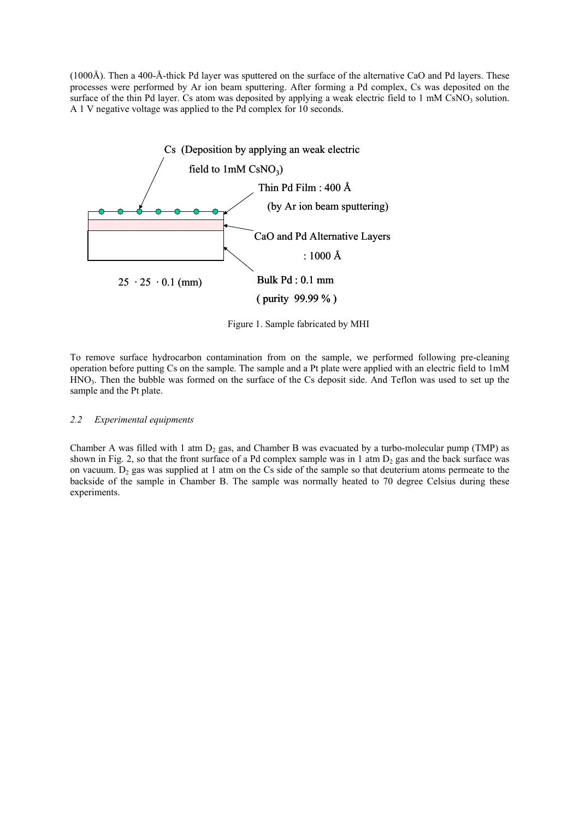(1000Å). Then a 400-Å-thick Pd layer was sputtered on the surface of the alternative CaO and Pd layers. These processes were performed by Ar ion beam sputtering. After forming a Pd complex, Cs was deposited on the surface of the thin Pd layer. Cs atom was deposited by applying a weak electric field to 1 mM CsNO<sub>3</sub> solution. A 1 V negative voltage was applied to the Pd complex for 10 seconds.



Figure 1. Sample fabricated by MHI

To remove surface hydrocarbon contamination from on the sample, we performed following pre-cleaning operation before putting Cs on the sample. The sample and a Pt plate were applied with an electric field to 1mM HNO3. Then the bubble was formed on the surface of the Cs deposit side. And Teflon was used to set up the sample and the Pt plate.

# *2.2 Experimental equipments*

Chamber A was filled with 1 atm  $D_2$  gas, and Chamber B was evacuated by a turbo-molecular pump (TMP) as shown in Fig. 2, so that the front surface of a Pd complex sample was in 1 atm  $D_2$  gas and the back surface was on vacuum.  $D_2$  gas was supplied at 1 atm on the Cs side of the sample so that deuterium atoms permeate to the backside of the sample in Chamber B. The sample was normally heated to 70 degree Celsius during these experiments.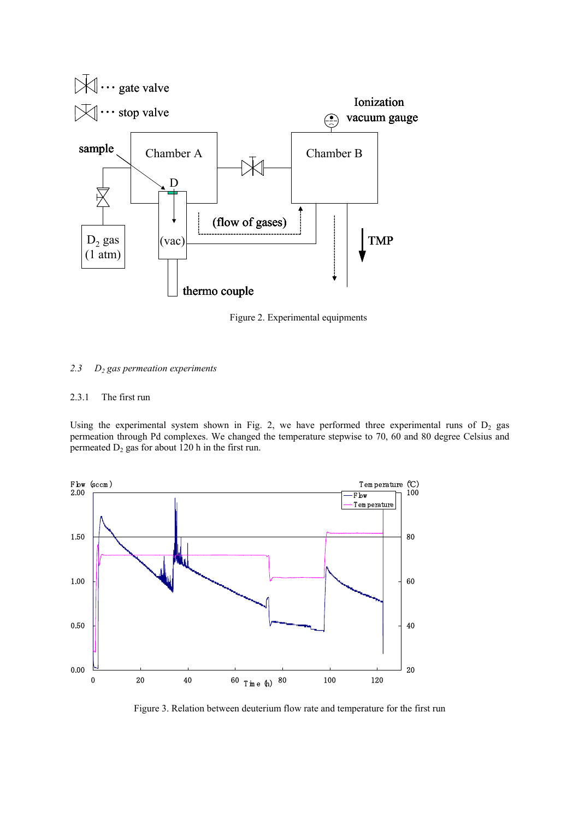

Figure 2. Experimental equipments

# *2.3 D2 gas permeation experiments*

# 2.3.1 The first run

Using the experimental system shown in Fig. 2, we have performed three experimental runs of  $D_2$  gas permeation through Pd complexes. We changed the temperature stepwise to 70, 60 and 80 degree Celsius and permeated  $D_2$  gas for about 120 h in the first run.



Figure 3. Relation between deuterium flow rate and temperature for the first run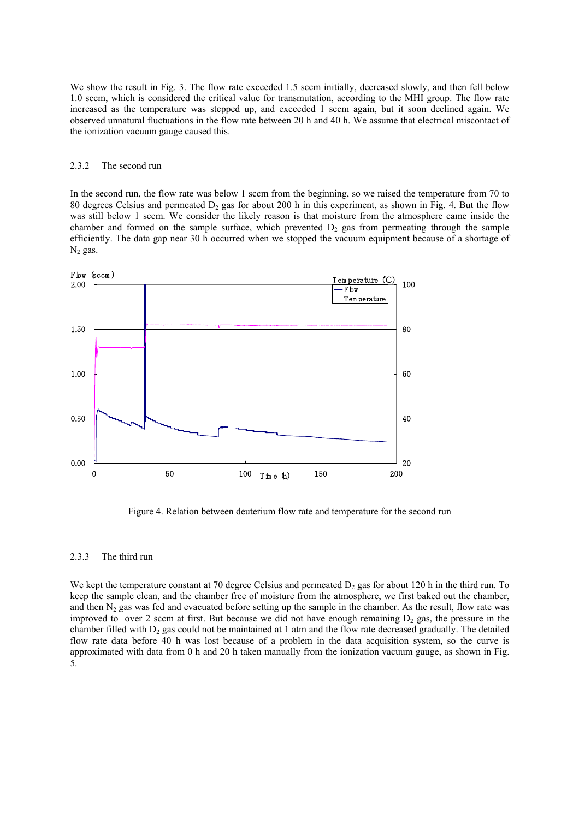We show the result in Fig. 3. The flow rate exceeded 1.5 sccm initially, decreased slowly, and then fell below 1.0 sccm, which is considered the critical value for transmutation, according to the MHI group. The flow rate increased as the temperature was stepped up, and exceeded 1 sccm again, but it soon declined again. We observed unnatural fluctuations in the flow rate between 20 h and 40 h. We assume that electrical miscontact of the ionization vacuum gauge caused this.

#### 2.3.2 The second run

In the second run, the flow rate was below 1 sccm from the beginning, so we raised the temperature from 70 to 80 degrees Celsius and permeated  $D_2$  gas for about 200 h in this experiment, as shown in Fig. 4. But the flow was still below 1 sccm. We consider the likely reason is that moisture from the atmosphere came inside the chamber and formed on the sample surface, which prevented  $D<sub>2</sub>$  gas from permeating through the sample efficiently. The data gap near 30 h occurred when we stopped the vacuum equipment because of a shortage of  $N_2$  gas.



Figure 4. Relation between deuterium flow rate and temperature for the second run

#### 2.3.3 The third run

We kept the temperature constant at 70 degree Celsius and permeated  $D_2$  gas for about 120 h in the third run. To keep the sample clean, and the chamber free of moisture from the atmosphere, we first baked out the chamber, and then  $N_2$  gas was fed and evacuated before setting up the sample in the chamber. As the result, flow rate was improved to over 2 sccm at first. But because we did not have enough remaining  $D<sub>2</sub>$  gas, the pressure in the chamber filled with  $D_2$  gas could not be maintained at 1 atm and the flow rate decreased gradually. The detailed flow rate data before 40 h was lost because of a problem in the data acquisition system, so the curve is approximated with data from 0 h and 20 h taken manually from the ionization vacuum gauge, as shown in Fig. 5.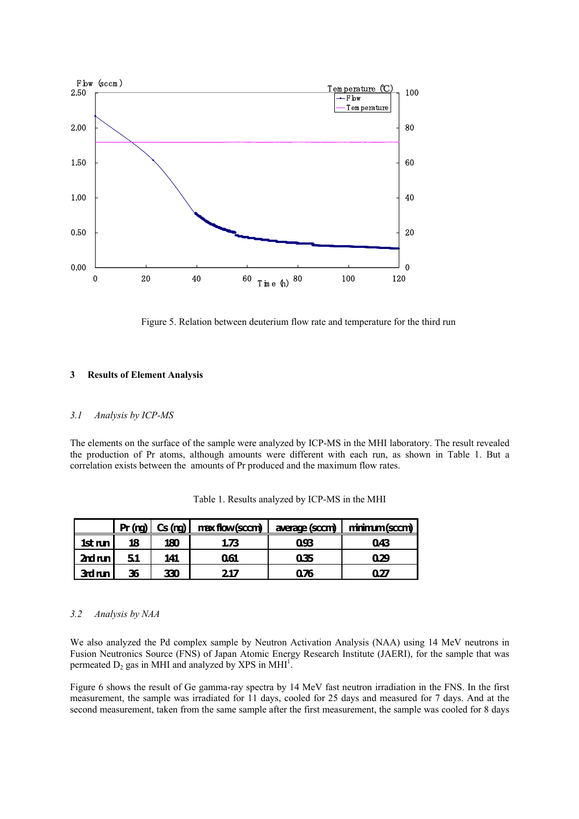

Figure 5. Relation between deuterium flow rate and temperature for the third run

### **3 Results of Element Analysis**

## *3.1 Analysis by ICP-MS*

The elements on the surface of the sample were analyzed by ICP-MS in the MHI laboratory. The result revealed the production of Pr atoms, although amounts were different with each run, as shown in Table 1. But a correlation exists between the amounts of Pr produced and the maximum flow rates.

|           |    | Pr (nq)   Cs (nq) | max flow (sccm) | average (sccm) | minimum (sccm) |
|-----------|----|-------------------|-----------------|----------------|----------------|
| $1st$ run | 18 | 180               | 1.73            | 0.93           | 043            |
| $2rd$ run | 51 | 141               | 061             | 035            | 029            |
| 3rd run   | 36 | 330               | 217             | 0.76           | 0.27           |

Table 1. Results analyzed by ICP-MS in the MHI

## *3.2 Analysis by NAA*

We also analyzed the Pd complex sample by Neutron Activation Analysis (NAA) using 14 MeV neutrons in Fusion Neutronics Source (FNS) of Japan Atomic Energy Research Institute (JAERI), for the sample that was permeated  $D_2$  gas in MHI and analyzed by XPS in MHI<sup>1</sup>.

Figure 6 shows the result of Ge gamma-ray spectra by 14 MeV fast neutron irradiation in the FNS. In the first measurement, the sample was irradiated for 11 days, cooled for 25 days and measured for 7 days. And at the second measurement, taken from the same sample after the first measurement, the sample was cooled for 8 days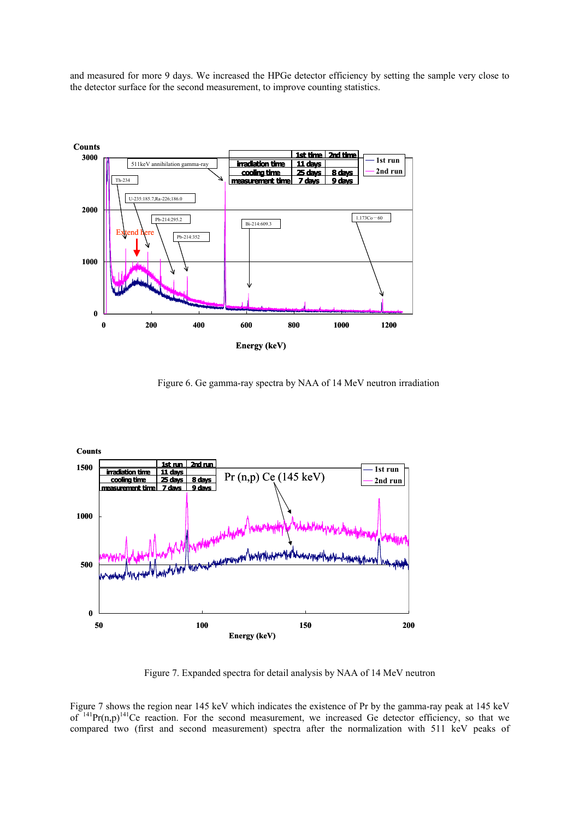and measured for more 9 days. We increased the HPGe detector efficiency by setting the sample very close to the detector surface for the second measurement, to improve counting statistics.



Figure 6. Ge gamma-ray spectra by NAA of 14 MeV neutron irradiation



Figure 7. Expanded spectra for detail analysis by NAA of 14 MeV neutron

Figure 7 shows the region near 145 keV which indicates the existence of Pr by the gamma-ray peak at 145 keV of  $141$ Pr(n,p) $141$ Ce reaction. For the second measurement, we increased Ge detector efficiency, so that we compared two (first and second measurement) spectra after the normalization with 511 keV peaks of